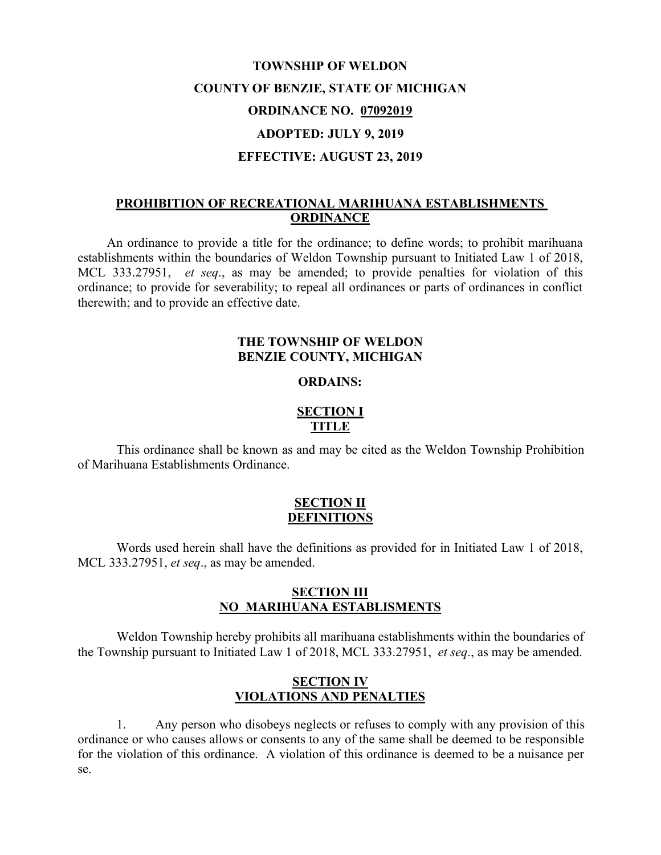# **TOWNSHIP OF WELDON COUNTY OF BENZIE, STATE OF MICHIGAN ORDINANCE NO. 07092019 ADOPTED: JULY 9, 2019 EFFECTIVE: AUGUST 23, 2019**

## **PROHIBITION OF RECREATIONAL MARIHUANA ESTABLISHMENTS ORDINANCE**

An ordinance to provide a title for the ordinance; to define words; to prohibit marihuana establishments within the boundaries of Weldon Township pursuant to Initiated Law 1 of 2018, MCL 333.27951, *et seq*., as may be amended; to provide penalties for violation of this ordinance; to provide for severability; to repeal all ordinances or parts of ordinances in conflict therewith; and to provide an effective date.

#### **THE TOWNSHIP OF WELDON BENZIE COUNTY, MICHIGAN**

#### **ORDAINS:**

# **SECTION I TITLE**

This ordinance shall be known as and may be cited as the Weldon Township Prohibition of Marihuana Establishments Ordinance.

#### **SECTION II DEFINITIONS**

Words used herein shall have the definitions as provided for in Initiated Law 1 of 2018, MCL 333.27951, *et seq*., as may be amended.

#### **SECTION III NO MARIHUANA ESTABLISMENTS**

Weldon Township hereby prohibits all marihuana establishments within the boundaries of the Township pursuant to Initiated Law 1 of 2018, MCL 333.27951, *et seq*., as may be amended.

### **SECTION IV VIOLATIONS AND PENALTIES**

1. Any person who disobeys neglects or refuses to comply with any provision of this ordinance or who causes allows or consents to any of the same shall be deemed to be responsible for the violation of this ordinance. A violation of this ordinance is deemed to be a nuisance per se.